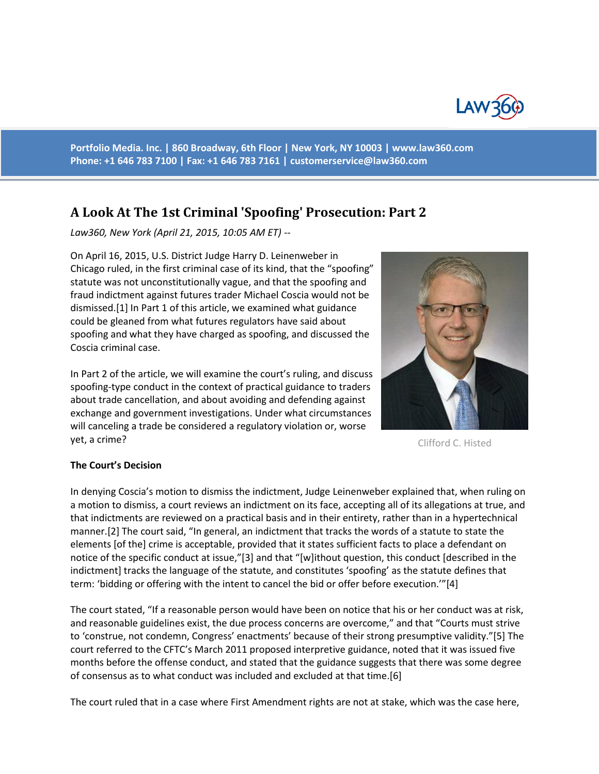

**Portfolio Media. Inc. | 860 Broadway, 6th Floor | New York, NY 10003 | www.law360.com Phone: +1 646 783 7100 | Fax: +1 646 783 7161 [| customerservice@law360.com](mailto:customerservice@law360.com)**

# **A Look At The 1st Criminal 'Spoofing' Prosecution: Part 2**

*Law360, New York (April 21, 2015, 10:05 AM ET) --* 

On April 16, 2015, U.S. District Judge Harry D. Leinenweber in Chicago ruled, in the first criminal case of its kind, that the "spoofing" statute was not unconstitutionally vague, and that the spoofing and fraud indictment against futures trader Michael Coscia would not be dismissed.[1] In Part 1 of this article, we examined what guidance could be gleaned from what futures regulators have said about spoofing and what they have charged as spoofing, and discussed the Coscia criminal case.

In Part 2 of the article, we will examine the court's ruling, and discuss spoofing-type conduct in the context of practical guidance to traders about trade cancellation, and about avoiding and defending against exchange and government investigations. Under what circumstances will canceling a trade be considered a regulatory violation or, worse yet, a crime?



Clifford C. Histed

#### **The Court's Decision**

In denying Coscia's motion to dismiss the indictment, Judge Leinenweber explained that, when ruling on a motion to dismiss, a court reviews an indictment on its face, accepting all of its allegations at true, and that indictments are reviewed on a practical basis and in their entirety, rather than in a hypertechnical manner.[2] The court said, "In general, an indictment that tracks the words of a statute to state the elements [of the] crime is acceptable, provided that it states sufficient facts to place a defendant on notice of the specific conduct at issue,"[3] and that "[w]ithout question, this conduct [described in the indictment] tracks the language of the statute, and constitutes 'spoofing' as the statute defines that term: 'bidding or offering with the intent to cancel the bid or offer before execution.'"[4]

The court stated, "If a reasonable person would have been on notice that his or her conduct was at risk, and reasonable guidelines exist, the due process concerns are overcome," and that "Courts must strive to 'construe, not condemn, Congress' enactments' because of their strong presumptive validity."[5] The court referred to the CFTC's March 2011 proposed interpretive guidance, noted that it was issued five months before the offense conduct, and stated that the guidance suggests that there was some degree of consensus as to what conduct was included and excluded at that time.[6]

The court ruled that in a case where First Amendment rights are not at stake, which was the case here,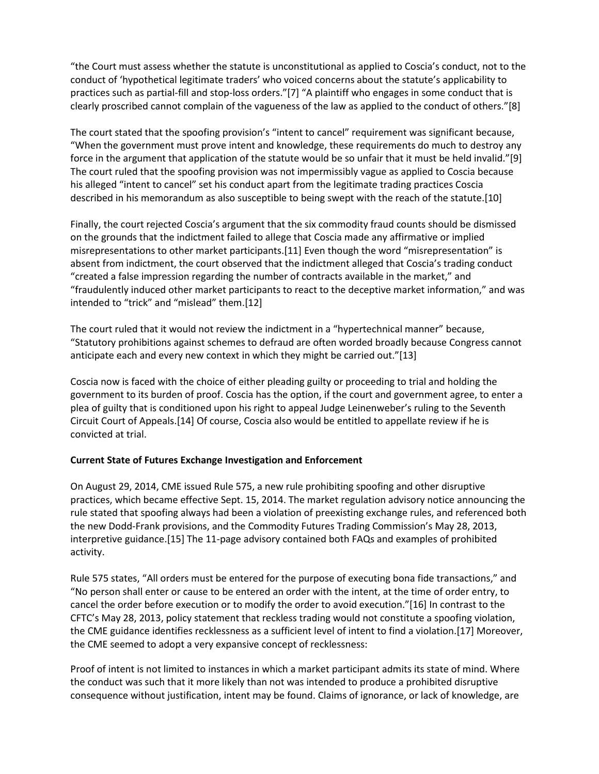"the Court must assess whether the statute is unconstitutional as applied to Coscia's conduct, not to the conduct of 'hypothetical legitimate traders' who voiced concerns about the statute's applicability to practices such as partial-fill and stop-loss orders."[7] "A plaintiff who engages in some conduct that is clearly proscribed cannot complain of the vagueness of the law as applied to the conduct of others."[8]

The court stated that the spoofing provision's "intent to cancel" requirement was significant because, "When the government must prove intent and knowledge, these requirements do much to destroy any force in the argument that application of the statute would be so unfair that it must be held invalid."[9] The court ruled that the spoofing provision was not impermissibly vague as applied to Coscia because his alleged "intent to cancel" set his conduct apart from the legitimate trading practices Coscia described in his memorandum as also susceptible to being swept with the reach of the statute.[10]

Finally, the court rejected Coscia's argument that the six commodity fraud counts should be dismissed on the grounds that the indictment failed to allege that Coscia made any affirmative or implied misrepresentations to other market participants.[11] Even though the word "misrepresentation" is absent from indictment, the court observed that the indictment alleged that Coscia's trading conduct "created a false impression regarding the number of contracts available in the market," and "fraudulently induced other market participants to react to the deceptive market information," and was intended to "trick" and "mislead" them.[12]

The court ruled that it would not review the indictment in a "hypertechnical manner" because, "Statutory prohibitions against schemes to defraud are often worded broadly because Congress cannot anticipate each and every new context in which they might be carried out."[13]

Coscia now is faced with the choice of either pleading guilty or proceeding to trial and holding the government to its burden of proof. Coscia has the option, if the court and government agree, to enter a plea of guilty that is conditioned upon his right to appeal Judge Leinenweber's ruling to the Seventh Circuit Court of Appeals.[14] Of course, Coscia also would be entitled to appellate review if he is convicted at trial.

#### **Current State of Futures Exchange Investigation and Enforcement**

On August 29, 2014, CME issued Rule 575, a new rule prohibiting spoofing and other disruptive practices, which became effective Sept. 15, 2014. The market regulation advisory notice announcing the rule stated that spoofing always had been a violation of preexisting exchange rules, and referenced both the new Dodd-Frank provisions, and the Commodity Futures Trading Commission's May 28, 2013, interpretive guidance.[15] The 11-page advisory contained both FAQs and examples of prohibited activity.

Rule 575 states, "All orders must be entered for the purpose of executing bona fide transactions," and "No person shall enter or cause to be entered an order with the intent, at the time of order entry, to cancel the order before execution or to modify the order to avoid execution."[16] In contrast to the CFTC's May 28, 2013, policy statement that reckless trading would not constitute a spoofing violation, the CME guidance identifies recklessness as a sufficient level of intent to find a violation.[17] Moreover, the CME seemed to adopt a very expansive concept of recklessness:

Proof of intent is not limited to instances in which a market participant admits its state of mind. Where the conduct was such that it more likely than not was intended to produce a prohibited disruptive consequence without justification, intent may be found. Claims of ignorance, or lack of knowledge, are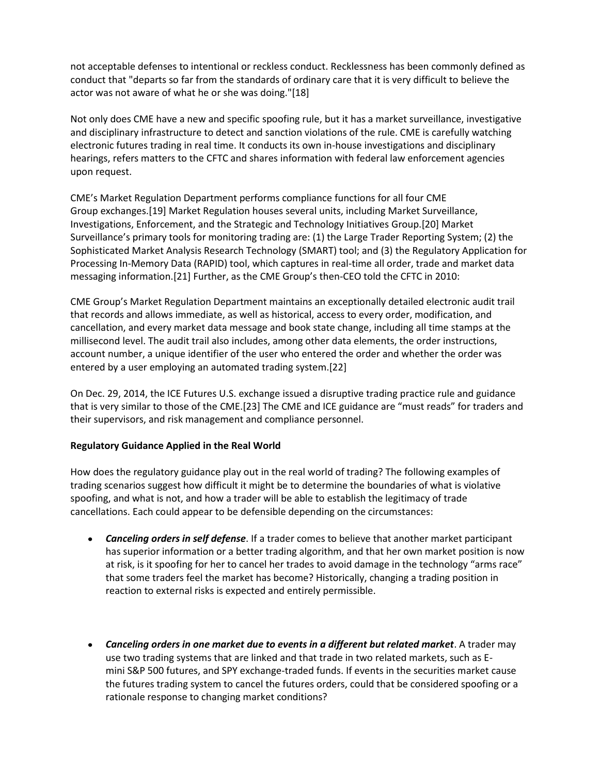not acceptable defenses to intentional or reckless conduct. Recklessness has been commonly defined as conduct that "departs so far from the standards of ordinary care that it is very difficult to believe the actor was not aware of what he or she was doing."[18]

Not only does CME have a new and specific spoofing rule, but it has a market surveillance, investigative and disciplinary infrastructure to detect and sanction violations of the rule. CME is carefully watching electronic futures trading in real time. It conducts its own in-house investigations and disciplinary hearings, refers matters to the CFTC and shares information with federal law enforcement agencies upon request.

CME's Market Regulation Department performs compliance functions for all four CME Group exchanges.[19] Market Regulation houses several units, including Market Surveillance, Investigations, Enforcement, and the Strategic and Technology Initiatives Group.[20] Market Surveillance's primary tools for monitoring trading are: (1) the Large Trader Reporting System; (2) the Sophisticated Market Analysis Research Technology (SMART) tool; and (3) the Regulatory Application for Processing In-Memory Data (RAPID) tool, which captures in real-time all order, trade and market data messaging information.[21] Further, as the CME Group's then-CEO told the CFTC in 2010:

CME Group's Market Regulation Department maintains an exceptionally detailed electronic audit trail that records and allows immediate, as well as historical, access to every order, modification, and cancellation, and every market data message and book state change, including all time stamps at the millisecond level. The audit trail also includes, among other data elements, the order instructions, account number, a unique identifier of the user who entered the order and whether the order was entered by a user employing an automated trading system.[22]

On Dec. 29, 2014, the ICE Futures U.S. exchange issued a disruptive trading practice rule and guidance that is very similar to those of the CME.[23] The CME and ICE guidance are "must reads" for traders and their supervisors, and risk management and compliance personnel.

#### **Regulatory Guidance Applied in the Real World**

How does the regulatory guidance play out in the real world of trading? The following examples of trading scenarios suggest how difficult it might be to determine the boundaries of what is violative spoofing, and what is not, and how a trader will be able to establish the legitimacy of trade cancellations. Each could appear to be defensible depending on the circumstances:

- *Canceling orders in self defense*. If a trader comes to believe that another market participant has superior information or a better trading algorithm, and that her own market position is now at risk, is it spoofing for her to cancel her trades to avoid damage in the technology "arms race" that some traders feel the market has become? Historically, changing a trading position in reaction to external risks is expected and entirely permissible.
- *Canceling orders in one market due to events in a different but related market*. A trader may use two trading systems that are linked and that trade in two related markets, such as Emini S&P 500 futures, and SPY exchange-traded funds. If events in the securities market cause the futures trading system to cancel the futures orders, could that be considered spoofing or a rationale response to changing market conditions?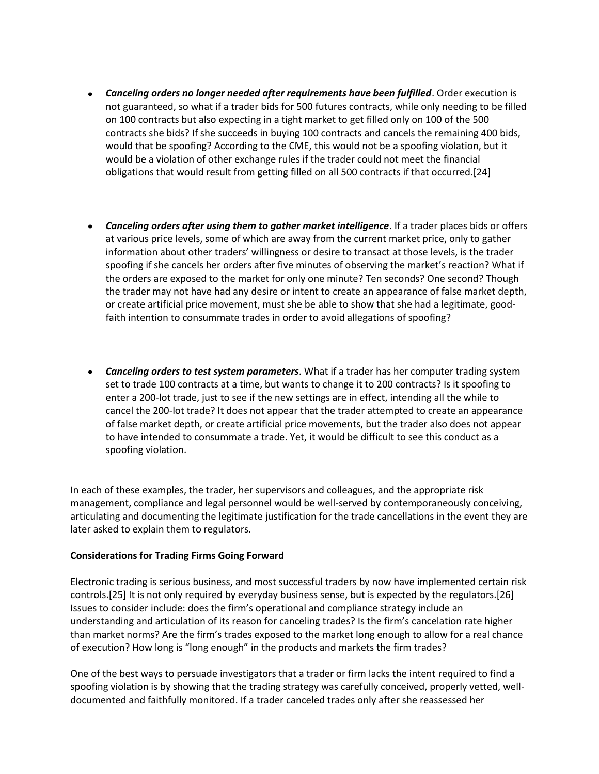- *Canceling orders no longer needed after requirements have been fulfilled*. Order execution is not guaranteed, so what if a trader bids for 500 futures contracts, while only needing to be filled on 100 contracts but also expecting in a tight market to get filled only on 100 of the 500 contracts she bids? If she succeeds in buying 100 contracts and cancels the remaining 400 bids, would that be spoofing? According to the CME, this would not be a spoofing violation, but it would be a violation of other exchange rules if the trader could not meet the financial obligations that would result from getting filled on all 500 contracts if that occurred.[24]
- *Canceling orders after using them to gather market intelligence*. If a trader places bids or offers at various price levels, some of which are away from the current market price, only to gather information about other traders' willingness or desire to transact at those levels, is the trader spoofing if she cancels her orders after five minutes of observing the market's reaction? What if the orders are exposed to the market for only one minute? Ten seconds? One second? Though the trader may not have had any desire or intent to create an appearance of false market depth, or create artificial price movement, must she be able to show that she had a legitimate, goodfaith intention to consummate trades in order to avoid allegations of spoofing?
- *Canceling orders to test system parameters*. What if a trader has her computer trading system set to trade 100 contracts at a time, but wants to change it to 200 contracts? Is it spoofing to enter a 200-lot trade, just to see if the new settings are in effect, intending all the while to cancel the 200-lot trade? It does not appear that the trader attempted to create an appearance of false market depth, or create artificial price movements, but the trader also does not appear to have intended to consummate a trade. Yet, it would be difficult to see this conduct as a spoofing violation.

In each of these examples, the trader, her supervisors and colleagues, and the appropriate risk management, compliance and legal personnel would be well-served by contemporaneously conceiving, articulating and documenting the legitimate justification for the trade cancellations in the event they are later asked to explain them to regulators.

#### **Considerations for Trading Firms Going Forward**

Electronic trading is serious business, and most successful traders by now have implemented certain risk controls.[25] It is not only required by everyday business sense, but is expected by the regulators.[26] Issues to consider include: does the firm's operational and compliance strategy include an understanding and articulation of its reason for canceling trades? Is the firm's cancelation rate higher than market norms? Are the firm's trades exposed to the market long enough to allow for a real chance of execution? How long is "long enough" in the products and markets the firm trades?

One of the best ways to persuade investigators that a trader or firm lacks the intent required to find a spoofing violation is by showing that the trading strategy was carefully conceived, properly vetted, welldocumented and faithfully monitored. If a trader canceled trades only after she reassessed her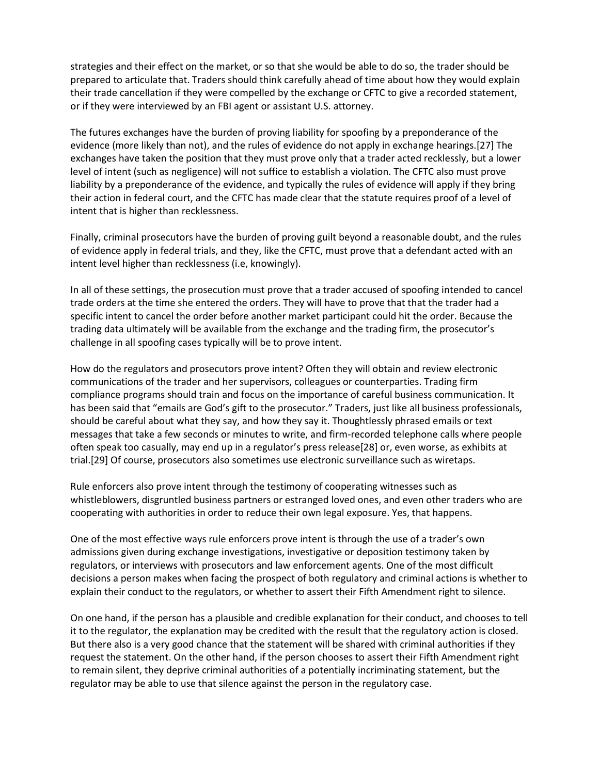strategies and their effect on the market, or so that she would be able to do so, the trader should be prepared to articulate that. Traders should think carefully ahead of time about how they would explain their trade cancellation if they were compelled by the exchange or CFTC to give a recorded statement, or if they were interviewed by an FBI agent or assistant U.S. attorney.

The futures exchanges have the burden of proving liability for spoofing by a preponderance of the evidence (more likely than not), and the rules of evidence do not apply in exchange hearings.[27] The exchanges have taken the position that they must prove only that a trader acted recklessly, but a lower level of intent (such as negligence) will not suffice to establish a violation. The CFTC also must prove liability by a preponderance of the evidence, and typically the rules of evidence will apply if they bring their action in federal court, and the CFTC has made clear that the statute requires proof of a level of intent that is higher than recklessness.

Finally, criminal prosecutors have the burden of proving guilt beyond a reasonable doubt, and the rules of evidence apply in federal trials, and they, like the CFTC, must prove that a defendant acted with an intent level higher than recklessness (i.e, knowingly).

In all of these settings, the prosecution must prove that a trader accused of spoofing intended to cancel trade orders at the time she entered the orders. They will have to prove that that the trader had a specific intent to cancel the order before another market participant could hit the order. Because the trading data ultimately will be available from the exchange and the trading firm, the prosecutor's challenge in all spoofing cases typically will be to prove intent.

How do the regulators and prosecutors prove intent? Often they will obtain and review electronic communications of the trader and her supervisors, colleagues or counterparties. Trading firm compliance programs should train and focus on the importance of careful business communication. It has been said that "emails are God's gift to the prosecutor." Traders, just like all business professionals, should be careful about what they say, and how they say it. Thoughtlessly phrased emails or text messages that take a few seconds or minutes to write, and firm-recorded telephone calls where people often speak too casually, may end up in a regulator's press release[28] or, even worse, as exhibits at trial.[29] Of course, prosecutors also sometimes use electronic surveillance such as wiretaps.

Rule enforcers also prove intent through the testimony of cooperating witnesses such as whistleblowers, disgruntled business partners or estranged loved ones, and even other traders who are cooperating with authorities in order to reduce their own legal exposure. Yes, that happens.

One of the most effective ways rule enforcers prove intent is through the use of a trader's own admissions given during exchange investigations, investigative or deposition testimony taken by regulators, or interviews with prosecutors and law enforcement agents. One of the most difficult decisions a person makes when facing the prospect of both regulatory and criminal actions is whether to explain their conduct to the regulators, or whether to assert their Fifth Amendment right to silence.

On one hand, if the person has a plausible and credible explanation for their conduct, and chooses to tell it to the regulator, the explanation may be credited with the result that the regulatory action is closed. But there also is a very good chance that the statement will be shared with criminal authorities if they request the statement. On the other hand, if the person chooses to assert their Fifth Amendment right to remain silent, they deprive criminal authorities of a potentially incriminating statement, but the regulator may be able to use that silence against the person in the regulatory case.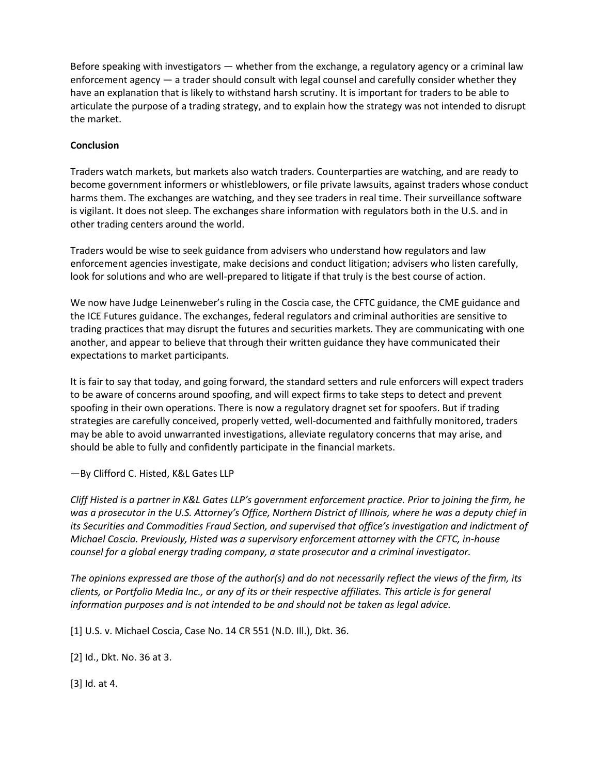Before speaking with investigators — whether from the exchange, a regulatory agency or a criminal law enforcement agency — a trader should consult with legal counsel and carefully consider whether they have an explanation that is likely to withstand harsh scrutiny. It is important for traders to be able to articulate the purpose of a trading strategy, and to explain how the strategy was not intended to disrupt the market.

### **Conclusion**

Traders watch markets, but markets also watch traders. Counterparties are watching, and are ready to become government informers or whistleblowers, or file private lawsuits, against traders whose conduct harms them. The exchanges are watching, and they see traders in real time. Their surveillance software is vigilant. It does not sleep. The exchanges share information with regulators both in the U.S. and in other trading centers around the world.

Traders would be wise to seek guidance from advisers who understand how regulators and law enforcement agencies investigate, make decisions and conduct litigation; advisers who listen carefully, look for solutions and who are well-prepared to litigate if that truly is the best course of action.

We now have Judge Leinenweber's ruling in the Coscia case, the CFTC guidance, the CME guidance and the ICE Futures guidance. The exchanges, federal regulators and criminal authorities are sensitive to trading practices that may disrupt the futures and securities markets. They are communicating with one another, and appear to believe that through their written guidance they have communicated their expectations to market participants.

It is fair to say that today, and going forward, the standard setters and rule enforcers will expect traders to be aware of concerns around spoofing, and will expect firms to take steps to detect and prevent spoofing in their own operations. There is now a regulatory dragnet set for spoofers. But if trading strategies are carefully conceived, properly vetted, well-documented and faithfully monitored, traders may be able to avoid unwarranted investigations, alleviate regulatory concerns that may arise, and should be able to fully and confidently participate in the financial markets.

## —By Clifford C. Histed, K&L Gates LLP

*Cliff Histed is a partner in K&L Gates LLP's government enforcement practice. Prior to joining the firm, he was a prosecutor in the U.S. Attorney's Office, Northern District of Illinois, where he was a deputy chief in its Securities and Commodities Fraud Section, and supervised that office's investigation and indictment of Michael Coscia. Previously, Histed was a supervisory enforcement attorney with the CFTC, in-house counsel for a global energy trading company, a state prosecutor and a criminal investigator.* 

*The opinions expressed are those of the author(s) and do not necessarily reflect the views of the firm, its clients, or Portfolio Media Inc., or any of its or their respective affiliates. This article is for general information purposes and is not intended to be and should not be taken as legal advice.*

[1] U.S. v. Michael Coscia, Case No. 14 CR 551 (N.D. Ill.), Dkt. 36.

[2] Id., Dkt. No. 36 at 3.

[3] Id. at 4.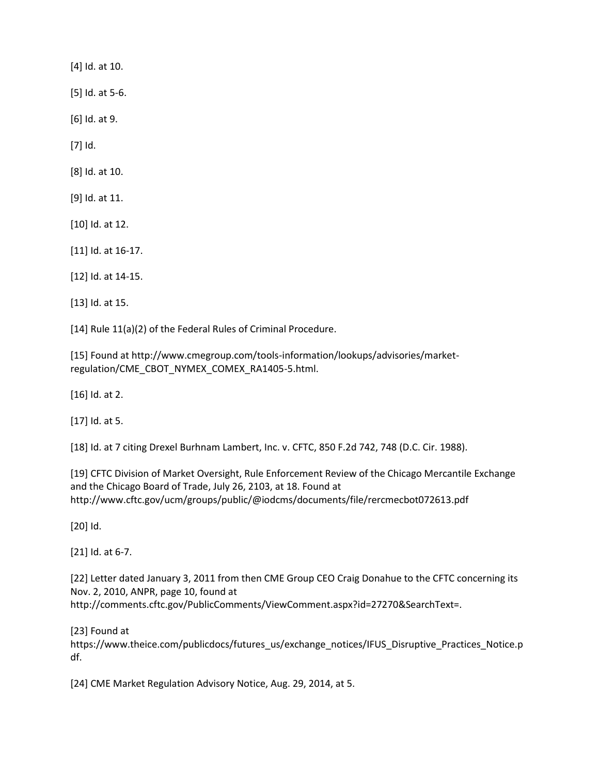[4] Id. at 10.

[5] Id. at 5-6.

[6] Id. at 9.

[7] Id.

[8] Id. at 10.

[9] Id. at 11.

[10] Id. at 12.

[11] Id. at 16-17.

[12] Id. at 14-15.

[13] Id. at 15.

[14] Rule 11(a)(2) of the Federal Rules of Criminal Procedure.

[15] Found at http://www.cmegroup.com/tools-information/lookups/advisories/marketregulation/CME\_CBOT\_NYMEX\_COMEX\_RA1405-5.html.

[16] Id. at 2.

[17] Id. at 5.

[18] Id. at 7 citing Drexel Burhnam Lambert, Inc. v. CFTC, 850 F.2d 742, 748 (D.C. Cir. 1988).

[19] CFTC Division of Market Oversight, Rule Enforcement Review of the Chicago Mercantile Exchange and the Chicago Board of Trade, July 26, 2103, at 18. Found at http://www.cftc.gov/ucm/groups/public/@iodcms/documents/file/rercmecbot072613.pdf

[20] Id.

[21] Id. at 6-7.

[22] Letter dated January 3, 2011 from then CME Group CEO Craig Donahue to the CFTC concerning its Nov. 2, 2010, ANPR, page 10, found at http://comments.cftc.gov/PublicComments/ViewComment.aspx?id=27270&SearchText=.

[23] Found at

https://www.theice.com/publicdocs/futures\_us/exchange\_notices/IFUS\_Disruptive\_Practices\_Notice.p df.

[24] CME Market Regulation Advisory Notice, Aug. 29, 2014, at 5.